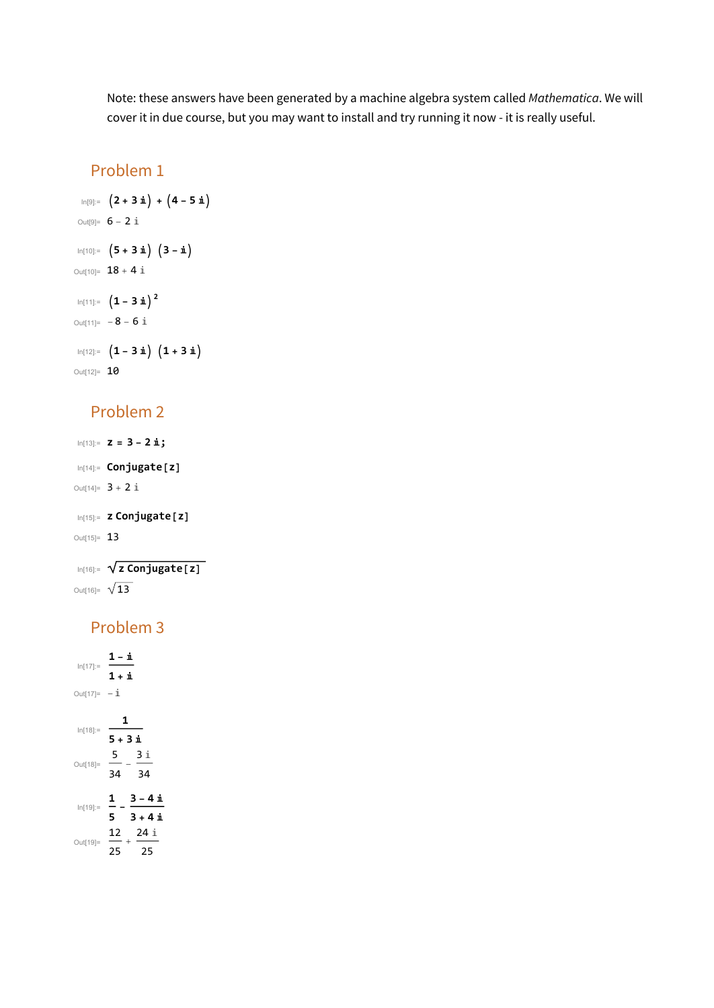Note: these answers have been generated by a machine algebra system called Mathematica. We will cover it in due course, but you may want to install and try running it now - it is really useful.

#### Problem 1

```
In[9]:= 2 + 3 ⅈ + 4 - 5 ⅈ
Out<sup>[9]=</sup> 6 - 2 iIn[10]:= 5 + 3 ⅈ 3 - ⅈ
Out[10] = 18 + 4 i
In[11]:= 1 - 3 ⅈ2
Out[11]= -8 - 6 i
In[12]:= 1 - 3 ⅈ 1 + 3 ⅈ
Out[12]= 10
```
#### Problem 2

```
In[13]:= z = 3 - 2 ⅈ;
In[14]:= Conjugate[z]
Out[14] = 3 + 2 iIn[15]:= z Conjugate[z]
Out[15]= 13
```

```
In[16]:= z Conjugate[z]
Out[16]= \sqrt{13}
```
## Problem 3

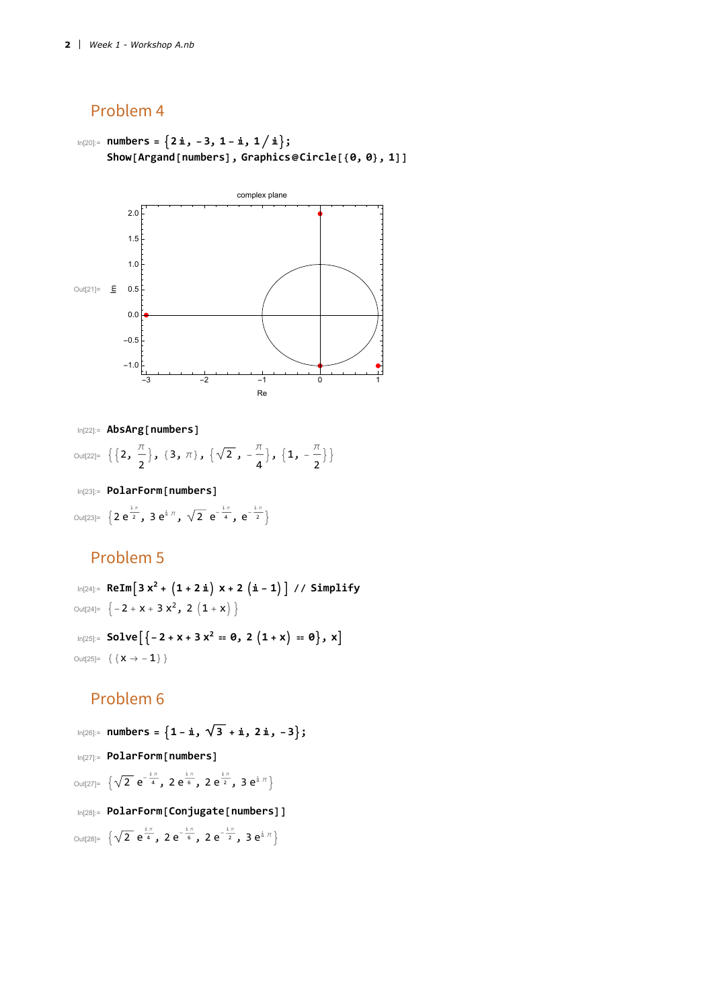#### Problem 4

In[20]:= **numbers = 2 ⅈ, -3, 1 - ⅈ, 1 ⅈ; Show[Argand[numbers], Graphics@Circle[{0, 0}, 1]]**



In[22]:= **AbsArg[numbers]**

Out[22]=  $\{2, \frac{\pi}{4}\}$ 2  $\{3, \pi\}, \{\sqrt{2}, -\frac{\pi}{2}\}$ 4  $\}, \{1, -\frac{\pi}{2}\}$ 2  $\}$ 

In[23]:= **PolarForm[numbers]**

Out[23]=  $\{2e^{\frac{i\pi}{2}}$ ,  $3e^{i\pi}$ ,  $\sqrt{2}e^{-\frac{i\pi}{4}}$ ,  $e^{-\frac{i\pi}{2}}\}$ 

### Problem 5

In[24]:= **ReIm3 x<sup>2</sup> + 1 + 2 ⅈ x + 2 ⅈ - 1 // Simplify** Out[24]=  $\left\{-2 + x + 3 x^2, 2 (1 + x)\right\}$  $\text{In}[25]:$  **50lve** $\left[\{-2 + x + 3x^2 = 0, 2(1 + x) = 0\}, x\right]$ Out[25]=  $\{ \{ \, x \rightarrow -1 \} \, \}$ 

## Problem 6

In[26]:= **numbers = 1 - ⅈ, 3 + ⅈ, 2 ⅈ, -3;** In[27]:= **PolarForm[numbers]** Out[27]=  $\left\{\sqrt{2} \right.$   $\mathrm{e}^{-\frac{\mathrm{i} \pi}{4}}$ , 2 $\mathrm{e}^{\frac{\mathrm{i} \pi}{6}}$ , 2 $\mathrm{e}^{\frac{\mathrm{i} \pi}{2}}$ , 3 $\mathrm{e}^{\mathrm{i} \pi}$ } In[28]:= **PolarForm[Conjugate[numbers]]** Out[28]=  $\left\{\sqrt{2} \right.$   $\mathrm{e}^{\frac{\mathrm{i} \pi}{4}}$ , 2 $\mathrm{e}^{-\frac{\mathrm{i} \pi}{6}}$ , 2 $\mathrm{e}^{-\frac{\mathrm{i} \pi}{2}}$ , 3 $\mathrm{e}^{\mathrm{i} \pi}$ }